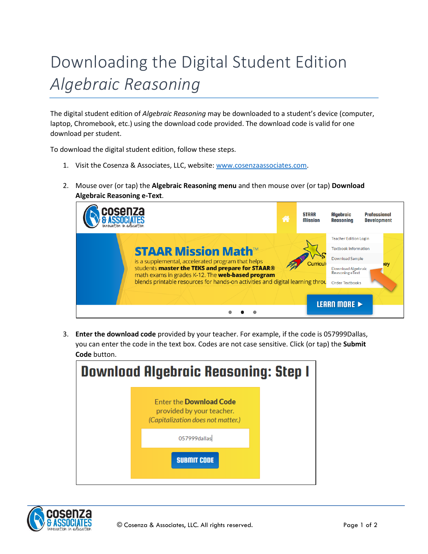## Downloading the Digital Student Edition *Algebraic Reasoning*

The digital student edition of *Algebraic Reasoning* may be downloaded to a student's device (computer, laptop, Chromebook, etc.) using the download code provided. The download code is valid for one download per student.

To download the digital student edition, follow these steps.

- 1. Visit the Cosenza & Associates, LLC, website: [www.cosenzaassociates.com.](http://www.cosenzaassociates.com/)
- 2. Mouse over (or tap) the **Algebraic Reasoning menu** and then mouse over (or tap) **Download Algebraic Reasoning e-Text**.



3. **Enter the download code** provided by your teacher. For example, if the code is 057999Dallas, you can enter the code in the text box. Codes are not case sensitive. Click (or tap) the **Submit Code** button.